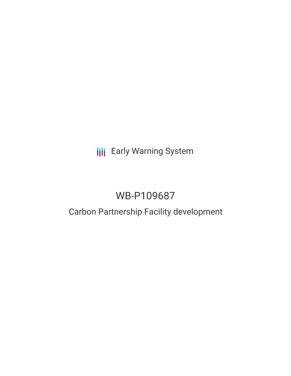**III** Early Warning System

# WB-P109687

# Carbon Partnership Facility development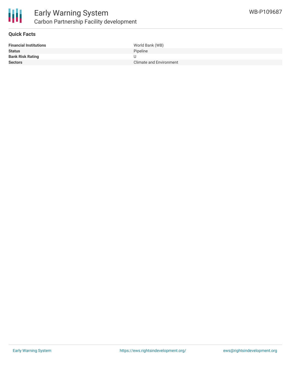

#### **Quick Facts**

| <b>Financial Institutions</b> | World Bank (WB)                |
|-------------------------------|--------------------------------|
| <b>Status</b>                 | Pipeline                       |
| <b>Bank Risk Rating</b>       |                                |
| <b>Sectors</b>                | <b>Climate and Environment</b> |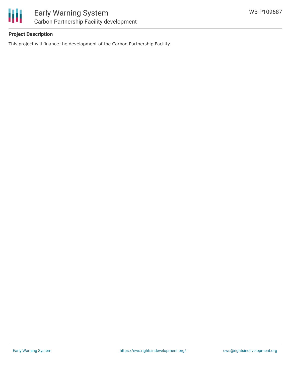

## **Project Description**

This project will finance the development of the Carbon Partnership Facility.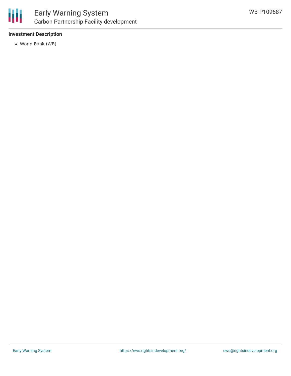

### **Investment Description**

World Bank (WB)